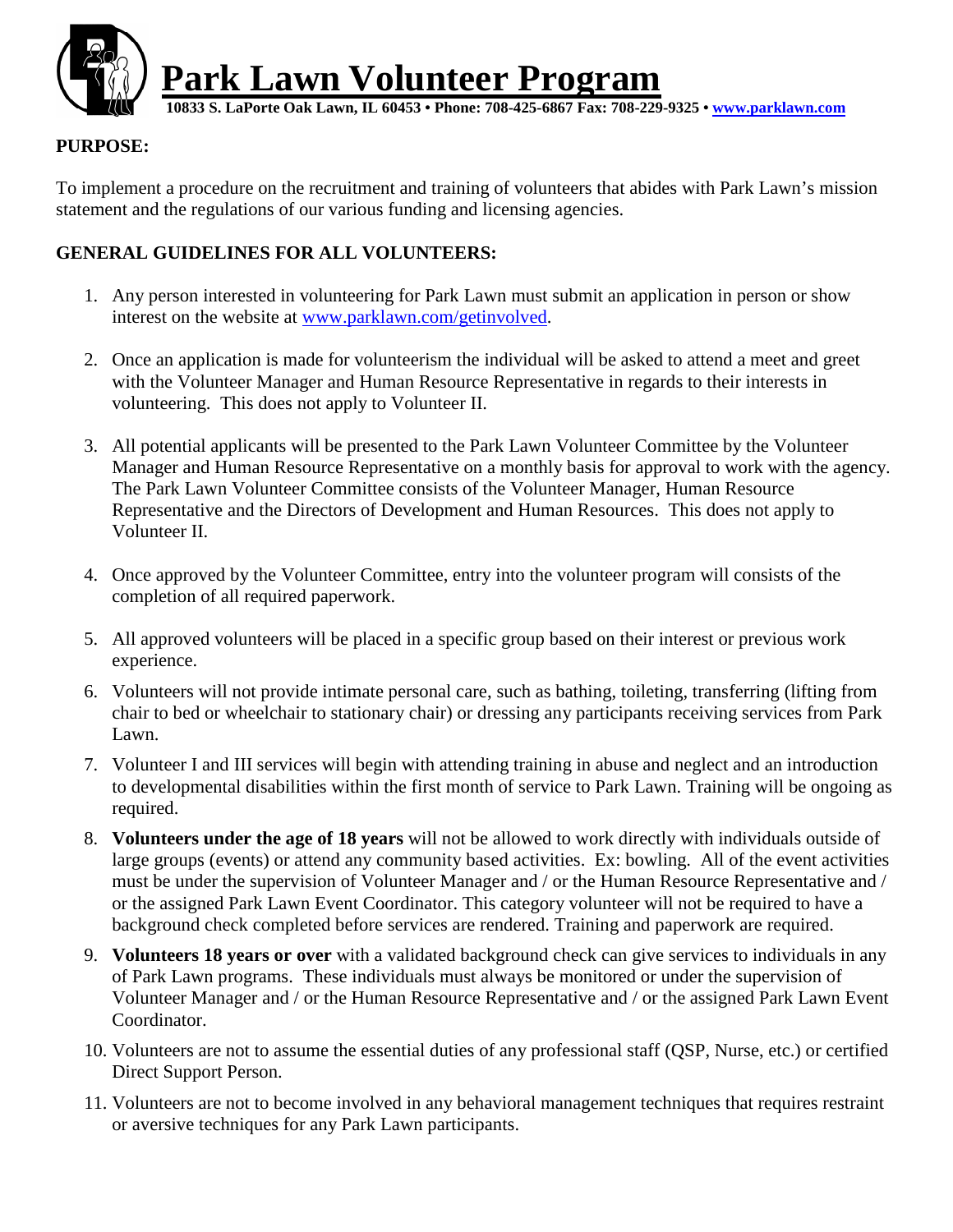

#### **PURPOSE:**

To implement a procedure on the recruitment and training of volunteers that abides with Park Lawn's mission statement and the regulations of our various funding and licensing agencies.

#### **GENERAL GUIDELINES FOR ALL VOLUNTEERS:**

- 1. Any person interested in volunteering for Park Lawn must submit an application in person or show interest on the website at www.parklawn.com/getinvolved.
- 2. Once an application is made for volunteerism the individual will be asked to attend a meet and greet with the Volunteer Manager and Human Resource Representative in regards to their interests in volunteering. This does not apply to Volunteer II.
- 3. All potential applicants will be presented to the Park Lawn Volunteer Committee by the Volunteer Manager and Human Resource Representative on a monthly basis for approval to work with the agency. The Park Lawn Volunteer Committee consists of the Volunteer Manager, Human Resource Representative and the Directors of Development and Human Resources. This does not apply to Volunteer II.
- 4. Once approved by the Volunteer Committee, entry into the volunteer program will consists of the completion of all required paperwork.
- 5. All approved volunteers will be placed in a specific group based on their interest or previous work experience.
- 6. Volunteers will not provide intimate personal care, such as bathing, toileting, transferring (lifting from chair to bed or wheelchair to stationary chair) or dressing any participants receiving services from Park Lawn.
- 7. Volunteer I and III services will begin with attending training in abuse and neglect and an introduction to developmental disabilities within the first month of service to Park Lawn. Training will be ongoing as required.
- 8. **Volunteers under the age of 18 years** will not be allowed to work directly with individuals outside of large groups (events) or attend any community based activities. Ex: bowling. All of the event activities must be under the supervision of Volunteer Manager and / or the Human Resource Representative and / or the assigned Park Lawn Event Coordinator. This category volunteer will not be required to have a background check completed before services are rendered. Training and paperwork are required.
- 9. **Volunteers 18 years or over** with a validated background check can give services to individuals in any of Park Lawn programs. These individuals must always be monitored or under the supervision of Volunteer Manager and / or the Human Resource Representative and / or the assigned Park Lawn Event Coordinator.
- 10. Volunteers are not to assume the essential duties of any professional staff (QSP, Nurse, etc.) or certified Direct Support Person.
- 11. Volunteers are not to become involved in any behavioral management techniques that requires restraint or aversive techniques for any Park Lawn participants.